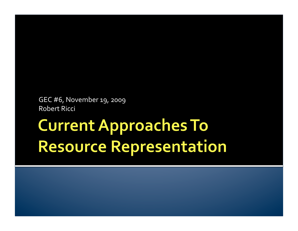GEC
#6,
November
19,
2009 Robert
Ricci

# **Current Approaches To Resource Representation**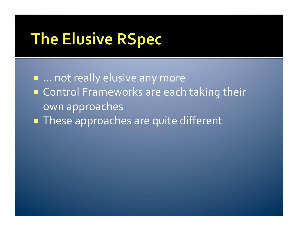### **The Elusive RSpec**

**E** ... not really elusive any more **Exercise Control Frameworks are each taking their** own
approaches **These approaches are quite different**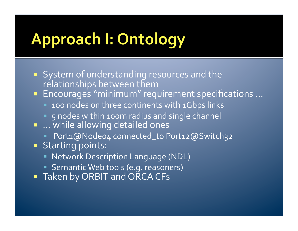## **Approach I: Ontology**

- **System of understanding resources and the** relationships
between
them
- **Encourages "minimum" requirement specifications...** 
	- **100 nodes on three continents with 1Gbps links**
	- **5** nodes within 100m radius and single channel
- ... while allowing detailed ones
	- Port1@Node04 connected\_to Port12@Switch32
- **Starting points:** 
	- **Network Description Language (NDL)**
	- **Semantic Web tools (e.g. reasoners)**
- Taken by ORBIT and ORCA CFs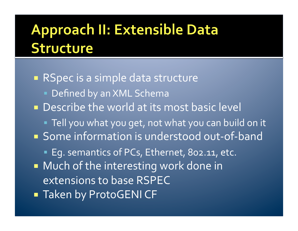#### **Approach II: Extensible Data Structure**

■ RSpec is a simple data structure **- Defined by an XML Schema • Describe the world at its most basic level Tell you what you get, not what you can build on it** ■ Some information is understood out-of-band ■ Eq. semantics of PCs, Ethernet, 802.11, etc. **Nuch of the interesting work done in** extensions
to
base
RSPEC **Taken by ProtoGENICF**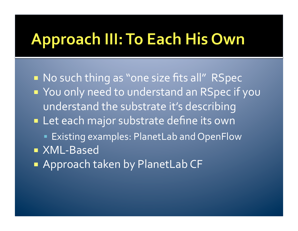### **Approach III: To Each His Own**

■ No such thing as "one size fits all" RSpec **Nou only need to understand an RSpec if you** understand
the
substrate
it's
describing **Execute 1 Major substrate define its own Existing examples: PlanetLab and OpenFlow** ■ XML-Based **BEApproach taken by PlanetLab CF**